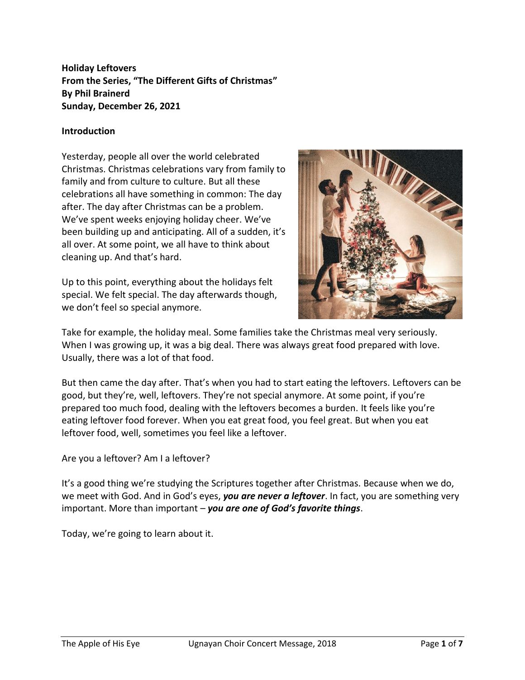**Holiday Leftovers From the Series, "The Different Gifts of Christmas" By Phil Brainerd Sunday, December 26, 2021**

### **Introduction**

Yesterday, people all over the world celebrated Christmas. Christmas celebrations vary from family to family and from culture to culture. But all these celebrations all have something in common: The day after. The day after Christmas can be a problem. We've spent weeks enjoying holiday cheer. We've been building up and anticipating. All of a sudden, it's all over. At some point, we all have to think about cleaning up. And that's hard.

Up to this point, everything about the holidays felt special. We felt special. The day afterwards though, we don't feel so special anymore.



Take for example, the holiday meal. Some families take the Christmas meal very seriously. When I was growing up, it was a big deal. There was always great food prepared with love. Usually, there was a lot of that food.

But then came the day after. That's when you had to start eating the leftovers. Leftovers can be good, but they're, well, leftovers. They're not special anymore. At some point, if you're prepared too much food, dealing with the leftovers becomes a burden. It feels like you're eating leftover food forever. When you eat great food, you feel great. But when you eat leftover food, well, sometimes you feel like a leftover.

Are you a leftover? Am I a leftover?

It's a good thing we're studying the Scriptures together after Christmas. Because when we do, we meet with God. And in God's eyes, *you are never a leftover*. In fact, you are something very important. More than important – *you are one of God's favorite things*.

Today, we're going to learn about it.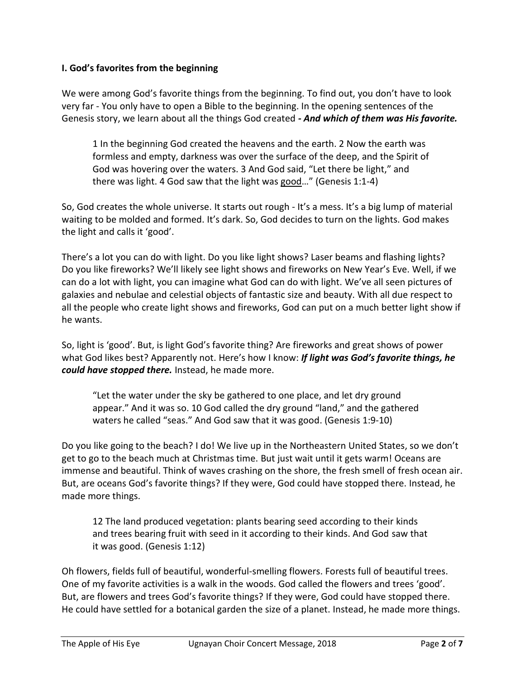### **I. God's favorites from the beginning**

We were among God's favorite things from the beginning. To find out, you don't have to look very far - You only have to open a Bible to the beginning. In the opening sentences of the Genesis story, we learn about all the things God created *- And which of them was His favorite.*

1 In the beginning God created the heavens and the earth. 2 Now the earth was formless and empty, darkness was over the surface of the deep, and the Spirit of God was hovering over the waters. 3 And God said, "Let there be light," and there was light. 4 God saw that the light was good..." (Genesis 1:1-4)

So, God creates the whole universe. It starts out rough - It's a mess. It's a big lump of material waiting to be molded and formed. It's dark. So, God decides to turn on the lights. God makes the light and calls it 'good'.

There's a lot you can do with light. Do you like light shows? Laser beams and flashing lights? Do you like fireworks? We'll likely see light shows and fireworks on New Year's Eve. Well, if we can do a lot with light, you can imagine what God can do with light. We've all seen pictures of galaxies and nebulae and celestial objects of fantastic size and beauty. With all due respect to all the people who create light shows and fireworks, God can put on a much better light show if he wants.

So, light is 'good'. But, is light God's favorite thing? Are fireworks and great shows of power what God likes best? Apparently not. Here's how I know: *If light was God's favorite things, he could have stopped there.* Instead, he made more.

"Let the water under the sky be gathered to one place, and let dry ground appear." And it was so. 10 God called the dry ground "land," and the gathered waters he called "seas." And God saw that it was good. (Genesis 1:9-10)

Do you like going to the beach? I do! We live up in the Northeastern United States, so we don't get to go to the beach much at Christmas time. But just wait until it gets warm! Oceans are immense and beautiful. Think of waves crashing on the shore, the fresh smell of fresh ocean air. But, are oceans God's favorite things? If they were, God could have stopped there. Instead, he made more things.

12 The land produced vegetation: plants bearing seed according to their kinds and trees bearing fruit with seed in it according to their kinds. And God saw that it was good. (Genesis 1:12)

Oh flowers, fields full of beautiful, wonderful-smelling flowers. Forests full of beautiful trees. One of my favorite activities is a walk in the woods. God called the flowers and trees 'good'. But, are flowers and trees God's favorite things? If they were, God could have stopped there. He could have settled for a botanical garden the size of a planet. Instead, he made more things.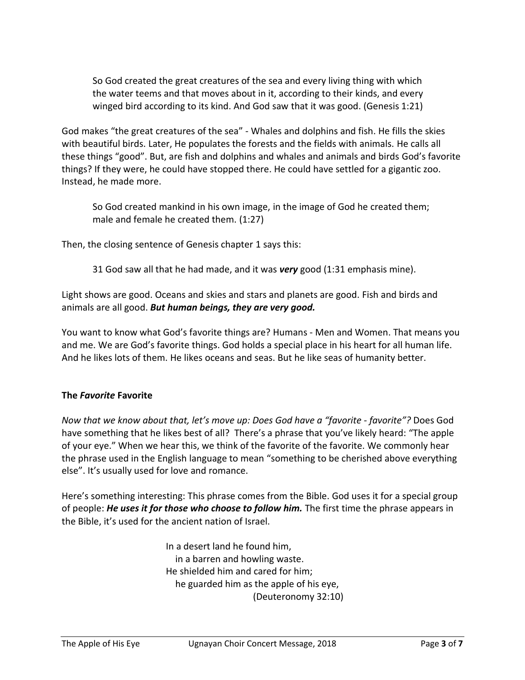So God created the great creatures of the sea and every living thing with which the water teems and that moves about in it, according to their kinds, and every winged bird according to its kind. And God saw that it was good. (Genesis 1:21)

God makes "the great creatures of the sea" - Whales and dolphins and fish. He fills the skies with beautiful birds. Later, He populates the forests and the fields with animals. He calls all these things "good". But, are fish and dolphins and whales and animals and birds God's favorite things? If they were, he could have stopped there. He could have settled for a gigantic zoo. Instead, he made more.

So God created mankind in his own image, in the image of God he created them; male and female he created them. (1:27)

Then, the closing sentence of Genesis chapter 1 says this:

31 God saw all that he had made, and it was *very* good (1:31 emphasis mine).

Light shows are good. Oceans and skies and stars and planets are good. Fish and birds and animals are all good. *But human beings, they are very good.*

You want to know what God's favorite things are? Humans - Men and Women. That means you and me. We are God's favorite things. God holds a special place in his heart for all human life. And he likes lots of them. He likes oceans and seas. But he like seas of humanity better.

# **The** *Favorite* **Favorite**

*Now that we know about that, let's move up: Does God have a "favorite - favorite"?* Does God have something that he likes best of all? There's a phrase that you've likely heard: "The apple of your eye." When we hear this, we think of the favorite of the favorite. We commonly hear the phrase used in the English language to mean "something to be cherished above everything else". It's usually used for love and romance.

Here's something interesting: This phrase comes from the Bible. God uses it for a special group of people: *He uses it for those who choose to follow him.* The first time the phrase appears in the Bible, it's used for the ancient nation of Israel.

> In a desert land he found him, in a barren and howling waste. He shielded him and cared for him; he guarded him as the apple of his eye, (Deuteronomy 32:10)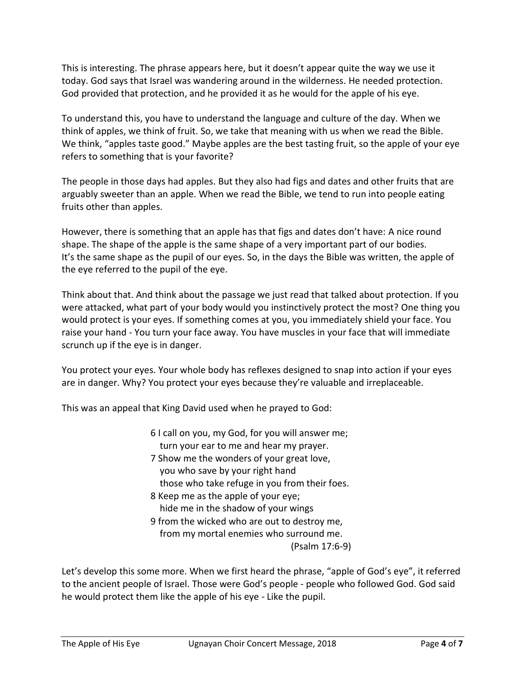This is interesting. The phrase appears here, but it doesn't appear quite the way we use it today. God says that Israel was wandering around in the wilderness. He needed protection. God provided that protection, and he provided it as he would for the apple of his eye.

To understand this, you have to understand the language and culture of the day. When we think of apples, we think of fruit. So, we take that meaning with us when we read the Bible. We think, "apples taste good." Maybe apples are the best tasting fruit, so the apple of your eye refers to something that is your favorite?

The people in those days had apples. But they also had figs and dates and other fruits that are arguably sweeter than an apple. When we read the Bible, we tend to run into people eating fruits other than apples.

However, there is something that an apple has that figs and dates don't have: A nice round shape. The shape of the apple is the same shape of a very important part of our bodies. It's the same shape as the pupil of our eyes. So, in the days the Bible was written, the apple of the eye referred to the pupil of the eye.

Think about that. And think about the passage we just read that talked about protection. If you were attacked, what part of your body would you instinctively protect the most? One thing you would protect is your eyes. If something comes at you, you immediately shield your face. You raise your hand - You turn your face away. You have muscles in your face that will immediate scrunch up if the eye is in danger.

You protect your eyes. Your whole body has reflexes designed to snap into action if your eyes are in danger. Why? You protect your eyes because they're valuable and irreplaceable.

This was an appeal that King David used when he prayed to God:

- 6 I call on you, my God, for you will answer me; turn your ear to me and hear my prayer.
- 7 Show me the wonders of your great love, you who save by your right hand those who take refuge in you from their foes.
- 8 Keep me as the apple of your eye; hide me in the shadow of your wings
- 9 from the wicked who are out to destroy me, from my mortal enemies who surround me. (Psalm 17:6-9)

Let's develop this some more. When we first heard the phrase, "apple of God's eye", it referred to the ancient people of Israel. Those were God's people - people who followed God. God said he would protect them like the apple of his eye - Like the pupil.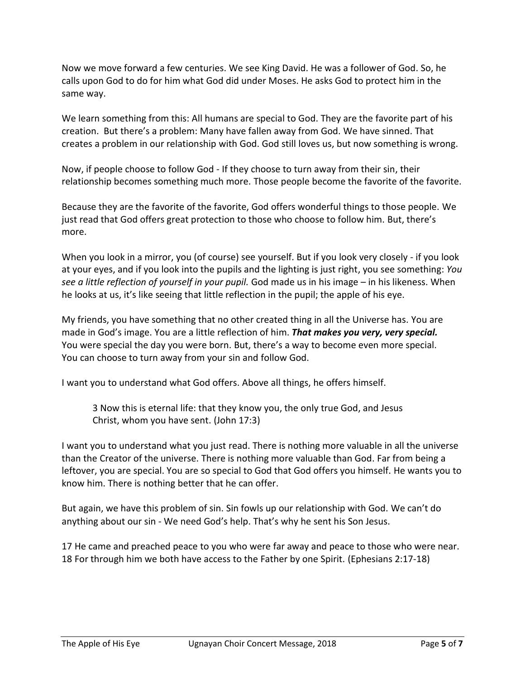Now we move forward a few centuries. We see King David. He was a follower of God. So, he calls upon God to do for him what God did under Moses. He asks God to protect him in the same way.

We learn something from this: All humans are special to God. They are the favorite part of his creation. But there's a problem: Many have fallen away from God. We have sinned. That creates a problem in our relationship with God. God still loves us, but now something is wrong.

Now, if people choose to follow God - If they choose to turn away from their sin, their relationship becomes something much more. Those people become the favorite of the favorite.

Because they are the favorite of the favorite, God offers wonderful things to those people. We just read that God offers great protection to those who choose to follow him. But, there's more.

When you look in a mirror, you (of course) see yourself. But if you look very closely - if you look at your eyes, and if you look into the pupils and the lighting is just right, you see something: *You see a little reflection of yourself in your pupil.* God made us in his image – in his likeness. When he looks at us, it's like seeing that little reflection in the pupil; the apple of his eye.

My friends, you have something that no other created thing in all the Universe has. You are made in God's image. You are a little reflection of him. *That makes you very, very special.* You were special the day you were born. But, there's a way to become even more special. You can choose to turn away from your sin and follow God.

I want you to understand what God offers. Above all things, he offers himself.

3 Now this is eternal life: that they know you, the only true God, and Jesus Christ, whom you have sent. (John 17:3)

I want you to understand what you just read. There is nothing more valuable in all the universe than the Creator of the universe. There is nothing more valuable than God. Far from being a leftover, you are special. You are so special to God that God offers you himself. He wants you to know him. There is nothing better that he can offer.

But again, we have this problem of sin. Sin fowls up our relationship with God. We can't do anything about our sin - We need God's help. That's why he sent his Son Jesus.

17 He came and preached peace to you who were far away and peace to those who were near. 18 For through him we both have access to the Father by one Spirit. (Ephesians 2:17-18)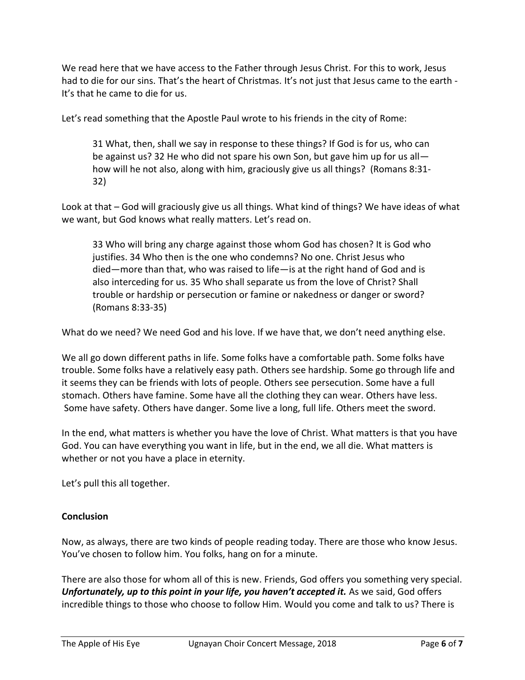We read here that we have access to the Father through Jesus Christ. For this to work, Jesus had to die for our sins. That's the heart of Christmas. It's not just that Jesus came to the earth - It's that he came to die for us.

Let's read something that the Apostle Paul wrote to his friends in the city of Rome:

31 What, then, shall we say in response to these things? If God is for us, who can be against us? 32 He who did not spare his own Son, but gave him up for us all how will he not also, along with him, graciously give us all things? (Romans 8:31- 32)

Look at that – God will graciously give us all things. What kind of things? We have ideas of what we want, but God knows what really matters. Let's read on.

33 Who will bring any charge against those whom God has chosen? It is God who justifies. 34 Who then is the one who condemns? No one. Christ Jesus who died—more than that, who was raised to life—is at the right hand of God and is also interceding for us. 35 Who shall separate us from the love of Christ? Shall trouble or hardship or persecution or famine or nakedness or danger or sword? (Romans 8:33-35)

What do we need? We need God and his love. If we have that, we don't need anything else.

We all go down different paths in life. Some folks have a comfortable path. Some folks have trouble. Some folks have a relatively easy path. Others see hardship. Some go through life and it seems they can be friends with lots of people. Others see persecution. Some have a full stomach. Others have famine. Some have all the clothing they can wear. Others have less. Some have safety. Others have danger. Some live a long, full life. Others meet the sword.

In the end, what matters is whether you have the love of Christ. What matters is that you have God. You can have everything you want in life, but in the end, we all die. What matters is whether or not you have a place in eternity.

Let's pull this all together.

# **Conclusion**

Now, as always, there are two kinds of people reading today. There are those who know Jesus. You've chosen to follow him. You folks, hang on for a minute.

There are also those for whom all of this is new. Friends, God offers you something very special. *Unfortunately, up to this point in your life, you haven't accepted it.* As we said, God offers incredible things to those who choose to follow Him. Would you come and talk to us? There is